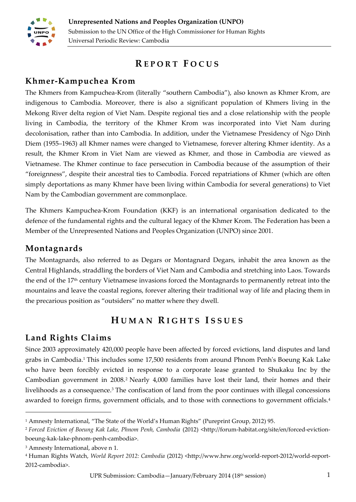

# **R E P O R T F O C U S**

#### **Khmer-Kampuchea Krom**

The Khmers from Kampuchea-Krom (literally "southern Cambodia"), also known as Khmer Krom, are indigenous to Cambodia. Moreover, there is also a significant population of Khmers living in the Mekong River delta region of Viet Nam. Despite regional ties and a close relationship with the people living in Cambodia, the territory of the Khmer Krom was incorporated into Viet Nam during decolonisation, rather than into Cambodia. In addition, under the Vietnamese Presidency of Ngo Dinh Diem (1955–1963) all Khmer names were changed to Vietnamese, forever altering Khmer identity. As a result, the Khmer Krom in Viet Nam are viewed as Khmer, and those in Cambodia are viewed as Vietnamese. The Khmer continue to face persecution in Cambodia because of the assumption of their "foreignness", despite their ancestral ties to Cambodia. Forced repatriations of Khmer (which are often simply deportations as many Khmer have been living within Cambodia for several generations) to Viet Nam by the Cambodian government are commonplace.

The Khmers Kampuchea-Krom Foundation (KKF) is an international organisation dedicated to the defence of the fundamental rights and the cultural legacy of the Khmer Krom. The Federation has been a Member of the Unrepresented Nations and Peoples Organization (UNPO) since 2001.

#### **Montagnards**

The Montagnards, also referred to as Degars or Montagnard Degars, inhabit the area known as the Central Highlands, straddling the borders of Viet Nam and Cambodia and stretching into Laos. Towards the end of the 17<sup>th</sup> century Vietnamese invasions forced the Montagnards to permanently retreat into the mountains and leave the coastal regions, forever altering their traditional way of life and placing them in the precarious position as "outsiders" no matter where they dwell.

## <span id="page-0-1"></span><span id="page-0-0"></span>**H U M A N R I G H T S I S S U E S**

## **Land Rights Claims**

Since 2003 approximately 420,000 people have been affected by forced evictions, land disputes and land grabs in Cambodia. <sup>1</sup> This includes some 17,500 residents from around Phnom Penh's Boeung Kak Lake who have been forcibly evicted in response to a corporate lease granted to Shukaku Inc by the Cambodian government in 2008.<sup>2</sup> Nearly 4,000 families have lost their land, their homes and their livelihoods as a consequence.<sup>3</sup> The confiscation of land from the poor continues with illegal concessions awarded to foreign firms, government officials, and to those with connections to government officials.<sup>4</sup>

1

<sup>1</sup> Amnesty International, "The State of the World's Human Rights" (Pureprint Group, 2012) 95.

<sup>2</sup> *Forced Eviction of Boeung Kak Lake, Phnom Penh, Cambodia* (2012) <http://forum-habitat.org/site/en/forced-evictionboeung-kak-lake-phnom-penh-cambodia>.

<sup>3</sup> Amnesty International, above n [1.](#page-0-0)

<sup>4</sup> Human Rights Watch, *World Report 2012: Cambodia* (2012) <http://www.hrw.org/world-report-2012/world-report-2012-cambodia>.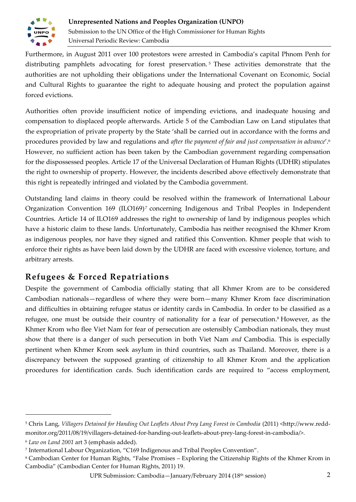

Furthermore, in August 2011 over 100 protestors were arrested in Cambodia's capital Phnom Penh for distributing pamphlets advocating for forest preservation. <sup>5</sup> These activities demonstrate that the authorities are not upholding their obligations under the International Covenant on Economic, Social and Cultural Rights to guarantee the right to adequate housing and protect the population against forced evictions.

Authorities often provide insufficient notice of impending evictions, and inadequate housing and compensation to displaced people afterwards. Article 5 of the Cambodian Law on Land stipulates that the expropriation of private property by the State 'shall be carried out in accordance with the forms and procedures provided by law and regulations and *after the payment of fair and just compensation in advance*'. 6 However, no sufficient action has been taken by the Cambodian government regarding compensation for the dispossessed peoples. Article 17 of the Universal Declaration of Human Rights (UDHR) stipulates the right to ownership of property. However, the incidents described above effectively demonstrate that this right is repeatedly infringed and violated by the Cambodia government.

Outstanding land claims in theory could be resolved within the framework of International Labour Organization Convention 169 (ILO169)<sup>7</sup> concerning Indigenous and Tribal Peoples in Independent Countries. Article 14 of ILO169 addresses the right to ownership of land by indigenous peoples which have a historic claim to these lands. Unfortunately, Cambodia has neither recognised the Khmer Krom as indigenous peoples, nor have they signed and ratified this Convention. Khmer people that wish to enforce their rights as have been laid down by the UDHR are faced with excessive violence, torture, and arbitrary arrests.

## **Refugees & Forced Repatriations**

<span id="page-1-0"></span>Despite the government of Cambodia officially stating that all Khmer Krom are to be considered Cambodian nationals—regardless of where they were born—many Khmer Krom face discrimination and difficulties in obtaining refugee status or identity cards in Cambodia. In order to be classified as a refugee, one must be outside their country of nationality for a fear of persecution. <sup>8</sup> However, as the Khmer Krom who flee Viet Nam for fear of persecution are ostensibly Cambodian nationals, they must show that there is a danger of such persecution in both Viet Nam *and* Cambodia. This is especially pertinent when Khmer Krom seek asylum in third countries, such as Thailand. Moreover, there is a discrepancy between the supposed granting of citizenship to all Khmer Krom and the application procedures for identification cards. Such identification cards are required to "access employment,

 $\overline{a}$ 

<sup>5</sup> Chris Lang, *Villagers Detained for Handing Out Leaflets About Prey Lang Forest in Cambodia* (2011) <http://www.reddmonitor.org/2011/08/19/villagers-detained-for-handing-out-leaflets-about-prey-lang-forest-in-cambodia/>.

<sup>6</sup> *Law on Land 2001* art 3 (emphasis added).

<sup>7</sup> International Labour Organization, "C169 Indigenous and Tribal Peoples Convention".

<sup>8</sup> Cambodian Center for Human Rights, "False Promises – Exploring the Citizenship Rights of the Khmer Krom in Cambodia" (Cambodian Center for Human Rights, 2011) 19.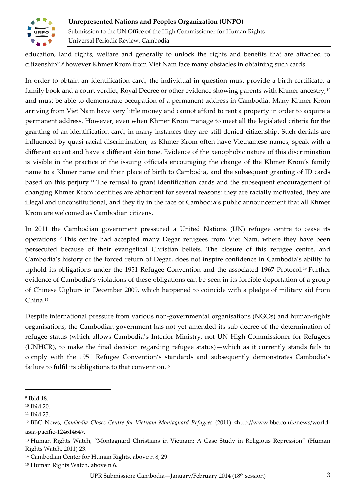

education, land rights, welfare and generally to unlock the rights and benefits that are attached to citizenship", <sup>9</sup> however Khmer Krom from Viet Nam face many obstacles in obtaining such cards.

In order to obtain an identification card, the individual in question must provide a birth certificate, a family book and a court verdict, Royal Decree or other evidence showing parents with Khmer ancestry,<sup>10</sup> and must be able to demonstrate occupation of a permanent address in Cambodia. Many Khmer Krom arriving from Viet Nam have very little money and cannot afford to rent a property in order to acquire a permanent address. However, even when Khmer Krom manage to meet all the legislated criteria for the granting of an identification card, in many instances they are still denied citizenship. Such denials are influenced by quasi-racial discrimination, as Khmer Krom often have Vietnamese names, speak with a different accent and have a different skin tone. Evidence of the xenophobic nature of this discrimination is visible in the practice of the issuing officials encouraging the change of the Khmer Krom's family name to a Khmer name and their place of birth to Cambodia, and the subsequent granting of ID cards based on this perjury.<sup>11</sup> The refusal to grant identification cards and the subsequent encouragement of changing Khmer Krom identities are abhorrent for several reasons: they are racially motivated, they are illegal and unconstitutional, and they fly in the face of Cambodia's public announcement that all Khmer Krom are welcomed as Cambodian citizens.

In 2011 the Cambodian government pressured a United Nations (UN) refugee centre to cease its operations.<sup>12</sup> This centre had accepted many Degar refugees from Viet Nam, where they have been persecuted because of their evangelical Christian beliefs. The closure of this refugee centre, and Cambodia's history of the forced return of Degar, does not inspire confidence in Cambodia's ability to uphold its obligations under the 1951 Refugee Convention and the associated 1967 Protocol.<sup>13</sup> Further evidence of Cambodia's violations of these obligations can be seen in its forcible deportation of a group of Chinese Uighurs in December 2009, which happened to coincide with a pledge of military aid from China.<sup>14</sup>

Despite international pressure from various non-governmental organisations (NGOs) and human-rights organisations, the Cambodian government has not yet amended its sub-decree of the determination of refugee status (which allows Cambodia's Interior Ministry, not UN High Commissioner for Refugees (UNHCR), to make the final decision regarding refugee status)—which as it currently stands fails to comply with the 1951 Refugee Convention's standards and subsequently demonstrates Cambodia's failure to fulfil its obligations to that convention.<sup>15</sup>

1

<sup>9</sup> Ibid 18.

<sup>10</sup> Ibid 20.

<sup>11</sup> Ibid 23.

<sup>12</sup> BBC News, *Cambodia Closes Centre for Vietnam Montagnard Refugees* (2011) <http://www.bbc.co.uk/news/worldasia-pacific-12461464>.

<sup>13</sup> Human Rights Watch, "Montagnard Christians in Vietnam: A Case Study in Religious Repression" (Human Rights Watch, 2011) 23.

<sup>14</sup> Cambodian Center for Human Rights, above n [8,](#page-1-0) 29.

<sup>15</sup> Human Rights Watch, above n [6.](#page-0-1)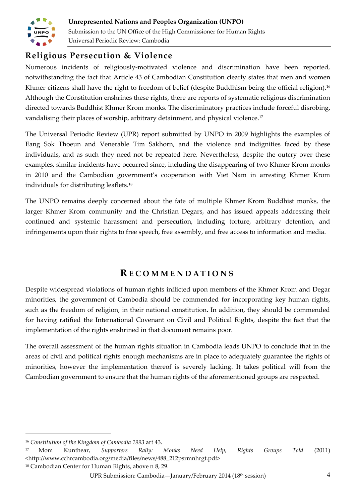

## **Religious Persecution & Violence**

Numerous incidents of religiously-motivated violence and discrimination have been reported, notwithstanding the fact that Article 43 of Cambodian Constitution clearly states that men and women Khmer citizens shall have the right to freedom of belief (despite Buddhism being the official religion).<sup>16</sup> Although the Constitution enshrines these rights, there are reports of systematic religious discrimination directed towards Buddhist Khmer Krom monks. The discriminatory practices include forceful disrobing, vandalising their places of worship, arbitrary detainment, and physical violence.<sup>17</sup>

The Universal Periodic Review (UPR) report submitted by UNPO in 2009 highlights the examples of Eang Sok Thoeun and Venerable Tim Sakhorn, and the violence and indignities faced by these individuals, and as such they need not be repeated here. Nevertheless, despite the outcry over these examples, similar incidents have occurred since, including the disappearing of two Khmer Krom monks in 2010 and the Cambodian government's cooperation with Viet Nam in arresting Khmer Krom individuals for distributing leaflets.<sup>18</sup>

The UNPO remains deeply concerned about the fate of multiple Khmer Krom Buddhist monks, the larger Khmer Krom community and the Christian Degars, and has issued appeals addressing their continued and systemic harassment and persecution, including torture, arbitrary detention, and infringements upon their rights to free speech, free assembly, and free access to information and media.

## **R E C O M M E N D A T I O N S**

Despite widespread violations of human rights inflicted upon members of the Khmer Krom and Degar minorities, the government of Cambodia should be commended for incorporating key human rights, such as the freedom of religion, in their national constitution. In addition, they should be commended for having ratified the International Covenant on Civil and Political Rights, despite the fact that the implementation of the rights enshrined in that document remains poor.

The overall assessment of the human rights situation in Cambodia leads UNPO to conclude that in the areas of civil and political rights enough mechanisms are in place to adequately guarantee the rights of minorities, however the implementation thereof is severely lacking. It takes political will from the Cambodian government to ensure that the human rights of the aforementioned groups are respected.

1

<sup>18</sup> Cambodian Center for Human Rights, above n [8,](#page-1-0) 29.

<sup>16</sup> *Constitution of the Kingdom of Cambodia 1993* art 43.

<sup>17</sup> Mom Kunthear, *Supporters Rally: Monks Need Help, Rights Groups Told* (2011) <http://www.cchrcambodia.org/media/files/news/488\_212psrmnhrgt.pdf>